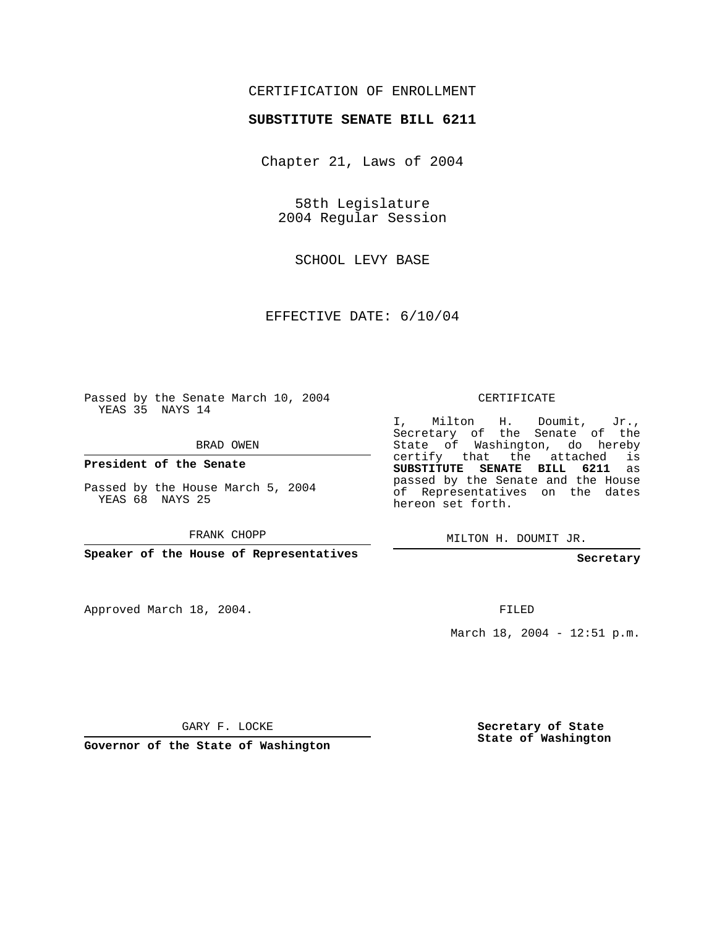## CERTIFICATION OF ENROLLMENT

## **SUBSTITUTE SENATE BILL 6211**

Chapter 21, Laws of 2004

58th Legislature 2004 Regular Session

SCHOOL LEVY BASE

EFFECTIVE DATE: 6/10/04

Passed by the Senate March 10, 2004 YEAS 35 NAYS 14

BRAD OWEN

**President of the Senate**

Passed by the House March 5, 2004 YEAS 68 NAYS 25

FRANK CHOPP

**Speaker of the House of Representatives**

Approved March 18, 2004.

CERTIFICATE

I, Milton H. Doumit, Jr., Secretary of the Senate of the State of Washington, do hereby certify that the attached is **SUBSTITUTE SENATE BILL 6211** as passed by the Senate and the House of Representatives on the dates hereon set forth.

MILTON H. DOUMIT JR.

**Secretary**

FILED

March 18, 2004 - 12:51 p.m.

GARY F. LOCKE

**Governor of the State of Washington**

**Secretary of State State of Washington**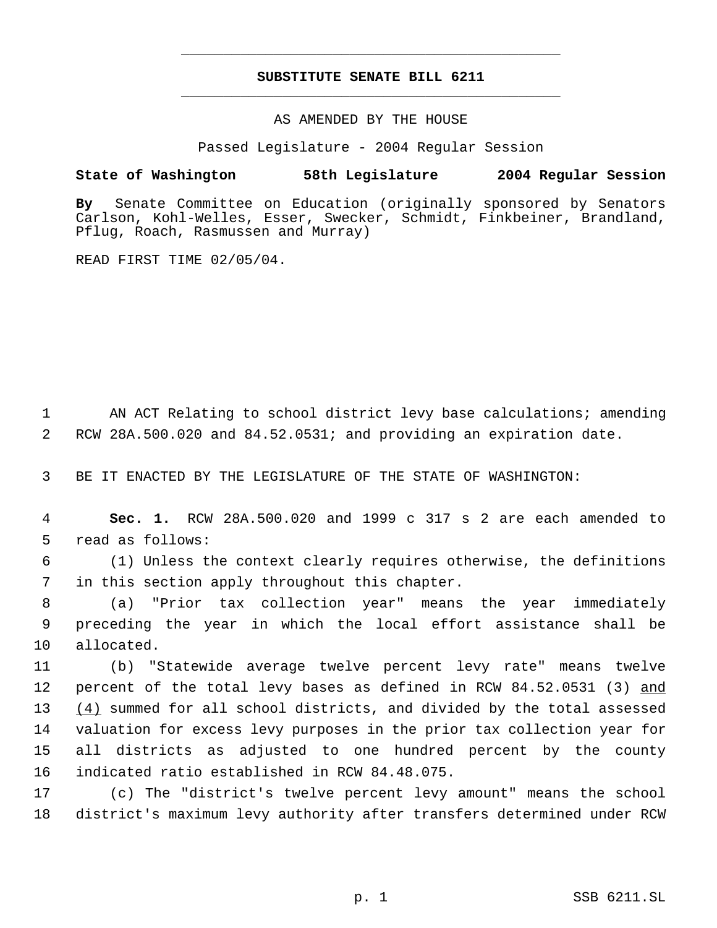## **SUBSTITUTE SENATE BILL 6211** \_\_\_\_\_\_\_\_\_\_\_\_\_\_\_\_\_\_\_\_\_\_\_\_\_\_\_\_\_\_\_\_\_\_\_\_\_\_\_\_\_\_\_\_\_

\_\_\_\_\_\_\_\_\_\_\_\_\_\_\_\_\_\_\_\_\_\_\_\_\_\_\_\_\_\_\_\_\_\_\_\_\_\_\_\_\_\_\_\_\_

AS AMENDED BY THE HOUSE

Passed Legislature - 2004 Regular Session

## **State of Washington 58th Legislature 2004 Regular Session**

**By** Senate Committee on Education (originally sponsored by Senators Carlson, Kohl-Welles, Esser, Swecker, Schmidt, Finkbeiner, Brandland, Pflug, Roach, Rasmussen and Murray)

READ FIRST TIME 02/05/04.

1 AN ACT Relating to school district levy base calculations; amending 2 RCW 28A.500.020 and 84.52.0531; and providing an expiration date.

3 BE IT ENACTED BY THE LEGISLATURE OF THE STATE OF WASHINGTON:

 4 **Sec. 1.** RCW 28A.500.020 and 1999 c 317 s 2 are each amended to 5 read as follows:

 6 (1) Unless the context clearly requires otherwise, the definitions 7 in this section apply throughout this chapter.

 8 (a) "Prior tax collection year" means the year immediately 9 preceding the year in which the local effort assistance shall be 10 allocated.

 (b) "Statewide average twelve percent levy rate" means twelve 12 percent of the total levy bases as defined in RCW 84.52.0531 (3) and  $(4)$  summed for all school districts, and divided by the total assessed valuation for excess levy purposes in the prior tax collection year for all districts as adjusted to one hundred percent by the county indicated ratio established in RCW 84.48.075.

17 (c) The "district's twelve percent levy amount" means the school 18 district's maximum levy authority after transfers determined under RCW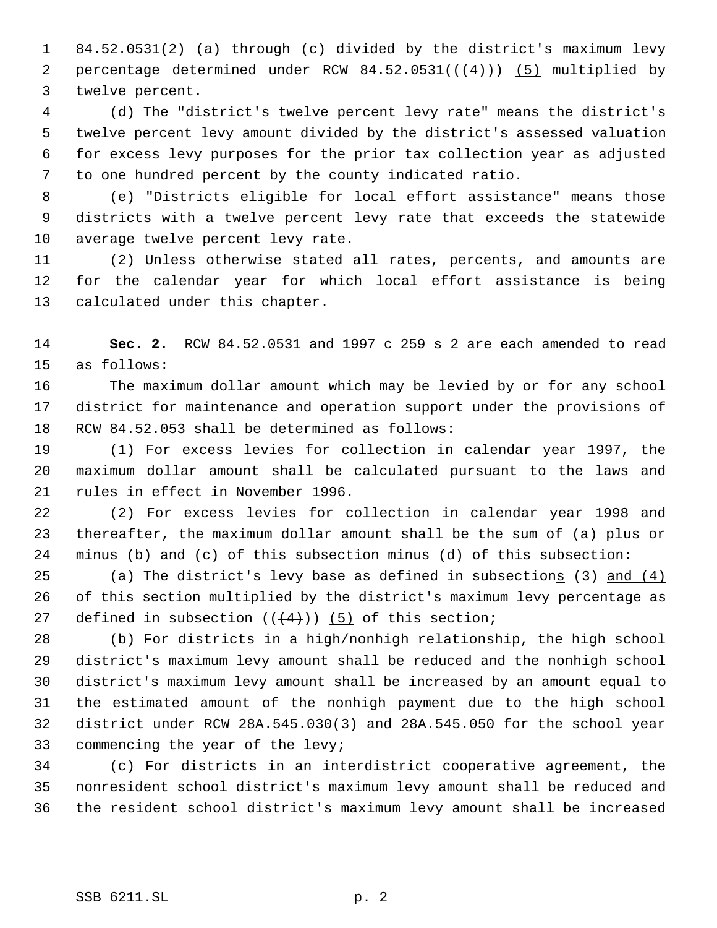84.52.0531(2) (a) through (c) divided by the district's maximum levy 2 percentage determined under RCW  $84.52.0531((+4))$   $(5)$  multiplied by twelve percent.

 (d) The "district's twelve percent levy rate" means the district's twelve percent levy amount divided by the district's assessed valuation for excess levy purposes for the prior tax collection year as adjusted to one hundred percent by the county indicated ratio.

 (e) "Districts eligible for local effort assistance" means those districts with a twelve percent levy rate that exceeds the statewide average twelve percent levy rate.

 (2) Unless otherwise stated all rates, percents, and amounts are for the calendar year for which local effort assistance is being calculated under this chapter.

 **Sec. 2.** RCW 84.52.0531 and 1997 c 259 s 2 are each amended to read as follows:

 The maximum dollar amount which may be levied by or for any school district for maintenance and operation support under the provisions of RCW 84.52.053 shall be determined as follows:

 (1) For excess levies for collection in calendar year 1997, the maximum dollar amount shall be calculated pursuant to the laws and rules in effect in November 1996.

 (2) For excess levies for collection in calendar year 1998 and thereafter, the maximum dollar amount shall be the sum of (a) plus or minus (b) and (c) of this subsection minus (d) of this subsection:

25 (a) The district's levy base as defined in subsections  $(3)$  and  $(4)$  of this section multiplied by the district's maximum levy percentage as 27 defined in subsection  $((+4))$   $(5)$  of this section;

 (b) For districts in a high/nonhigh relationship, the high school district's maximum levy amount shall be reduced and the nonhigh school district's maximum levy amount shall be increased by an amount equal to the estimated amount of the nonhigh payment due to the high school district under RCW 28A.545.030(3) and 28A.545.050 for the school year commencing the year of the levy;

 (c) For districts in an interdistrict cooperative agreement, the nonresident school district's maximum levy amount shall be reduced and the resident school district's maximum levy amount shall be increased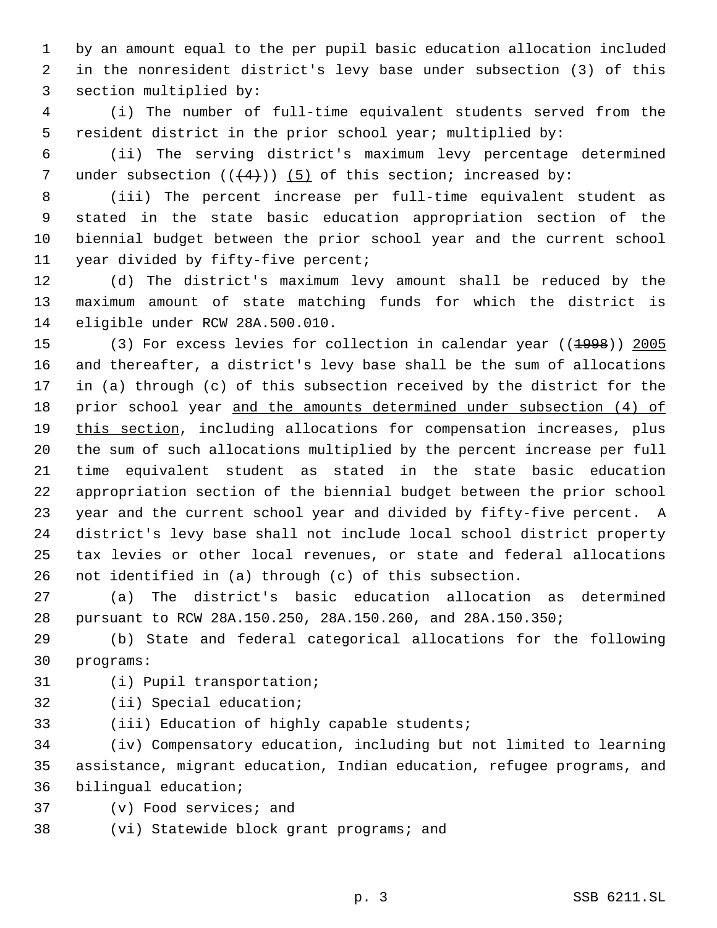by an amount equal to the per pupil basic education allocation included in the nonresident district's levy base under subsection (3) of this section multiplied by:

 (i) The number of full-time equivalent students served from the resident district in the prior school year; multiplied by:

 (ii) The serving district's maximum levy percentage determined 7 under subsection  $((4+))$  (5) of this section; increased by:

 (iii) The percent increase per full-time equivalent student as stated in the state basic education appropriation section of the biennial budget between the prior school year and the current school year divided by fifty-five percent;

 (d) The district's maximum levy amount shall be reduced by the maximum amount of state matching funds for which the district is eligible under RCW 28A.500.010.

15 (3) For excess levies for collection in calendar year ((1998)) 2005 and thereafter, a district's levy base shall be the sum of allocations in (a) through (c) of this subsection received by the district for the 18 prior school year and the amounts determined under subsection (4) of 19 this section, including allocations for compensation increases, plus the sum of such allocations multiplied by the percent increase per full time equivalent student as stated in the state basic education appropriation section of the biennial budget between the prior school year and the current school year and divided by fifty-five percent. A district's levy base shall not include local school district property tax levies or other local revenues, or state and federal allocations not identified in (a) through (c) of this subsection.

 (a) The district's basic education allocation as determined pursuant to RCW 28A.150.250, 28A.150.260, and 28A.150.350;

 (b) State and federal categorical allocations for the following programs:

- (i) Pupil transportation;
- (ii) Special education;
- (iii) Education of highly capable students;

 (iv) Compensatory education, including but not limited to learning assistance, migrant education, Indian education, refugee programs, and bilingual education;

- (v) Food services; and
- (vi) Statewide block grant programs; and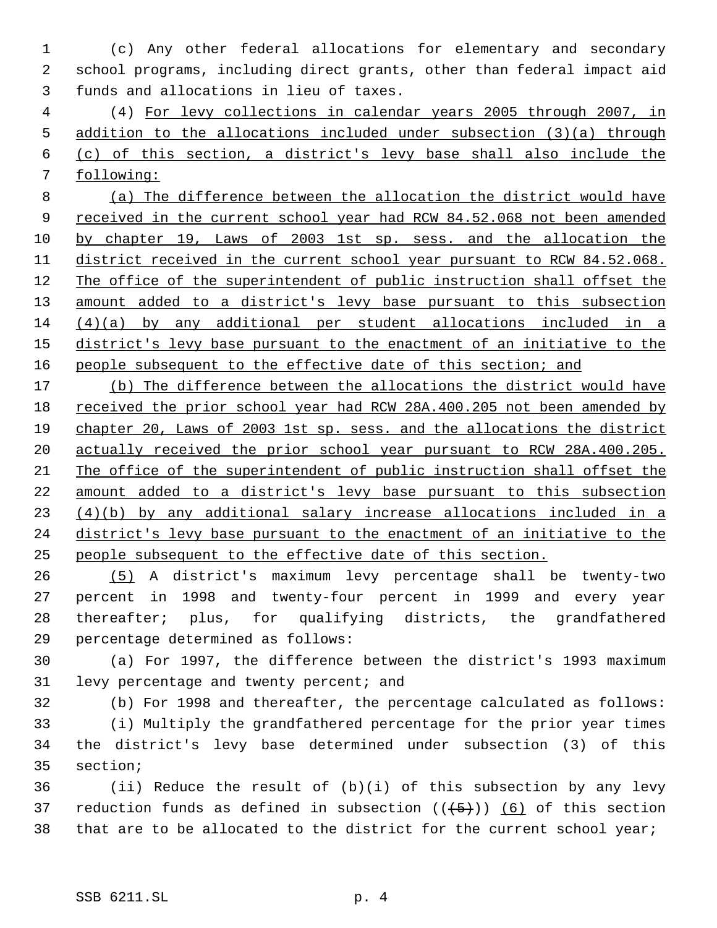(c) Any other federal allocations for elementary and secondary school programs, including direct grants, other than federal impact aid funds and allocations in lieu of taxes.

 (4) For levy collections in calendar years 2005 through 2007, in addition to the allocations included under subsection (3)(a) through (c) of this section, a district's levy base shall also include the following:

 (a) The difference between the allocation the district would have 9 received in the current school year had RCW 84.52.068 not been amended by chapter 19, Laws of 2003 1st sp. sess. and the allocation the district received in the current school year pursuant to RCW 84.52.068. The office of the superintendent of public instruction shall offset the 13 amount added to a district's levy base pursuant to this subsection (4)(a) by any additional per student allocations included in a 15 district's levy base pursuant to the enactment of an initiative to the 16 people subsequent to the effective date of this section; and

17 (b) The difference between the allocations the district would have received the prior school year had RCW 28A.400.205 not been amended by chapter 20, Laws of 2003 1st sp. sess. and the allocations the district actually received the prior school year pursuant to RCW 28A.400.205. The office of the superintendent of public instruction shall offset the amount added to a district's levy base pursuant to this subsection (4)(b) by any additional salary increase allocations included in a 24 district's levy base pursuant to the enactment of an initiative to the people subsequent to the effective date of this section.

 (5) A district's maximum levy percentage shall be twenty-two percent in 1998 and twenty-four percent in 1999 and every year thereafter; plus, for qualifying districts, the grandfathered percentage determined as follows:

 (a) For 1997, the difference between the district's 1993 maximum 31 levy percentage and twenty percent; and

(b) For 1998 and thereafter, the percentage calculated as follows:

 (i) Multiply the grandfathered percentage for the prior year times the district's levy base determined under subsection (3) of this section;

 (ii) Reduce the result of (b)(i) of this subsection by any levy 37 reduction funds as defined in subsection  $((+5))$  (6) of this section that are to be allocated to the district for the current school year;